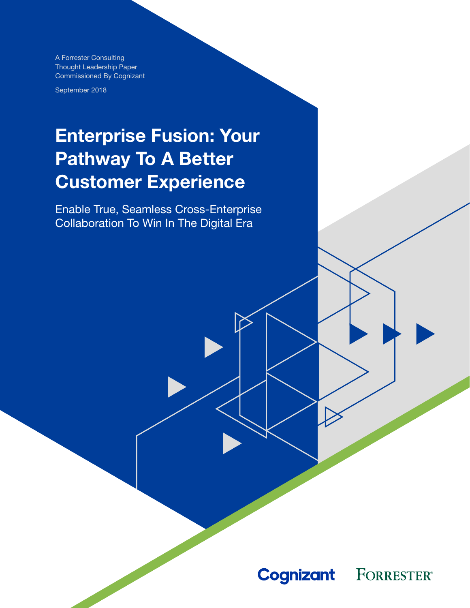A Forrester Consulting Thought Leadership Paper Commissioned By Cognizant

September 2018

# Enterprise Fusion: Your Pathway To A Better Customer Experience

Enable True, Seamless Cross-Enterprise Collaboration To Win In The Digital Era

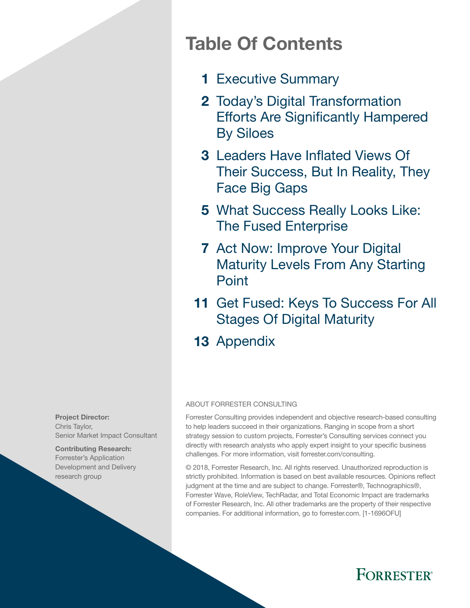# Table Of Contents

- 1 [Executive Summary](#page-2-0)
- 2 Today's Digital Transformation [Efforts Are Significantly Hampered](#page-3-0)  [By Siloes](#page-3-0)
- 3 Leaders Have Inflated Views Of [Their Success, But In Reality, They](#page-4-0)  [Face Big Gaps](#page-4-0)
- 5 What Success Really Looks Like: [The Fused Enterprise](#page-6-0)
- 7 Act Now: Improve Your Digital [Maturity Levels From Any Starting](#page-8-0)  [Point](#page-8-0)
- 11 Get Fused: Keys To Success For All [Stages Of Digital Maturity](#page-12-0)
- 13 [Appendix](#page-14-0)

#### ABOUT FORRESTER CONSULTING

Forrester Consulting provides independent and objective research-based consulting to help leaders succeed in their organizations. Ranging in scope from a short strategy session to custom projects, Forrester's Consulting services connect you directly with research analysts who apply expert insight to your specific business challenges. For more information, visit forrester.com/consulting.

© 2018, Forrester Research, Inc. All rights reserved. Unauthorized reproduction is strictly prohibited. Information is based on best available resources. Opinions reflect judgment at the time and are subject to change. Forrester®, Technographics®, Forrester Wave, RoleView, TechRadar, and Total Economic Impact are trademarks of Forrester Research, Inc. All other trademarks are the property of their respective companies. For additional information, go to forrester.com. [1-1696OFU]



Contributing Research: Forrester's Application Development and Delivery research group

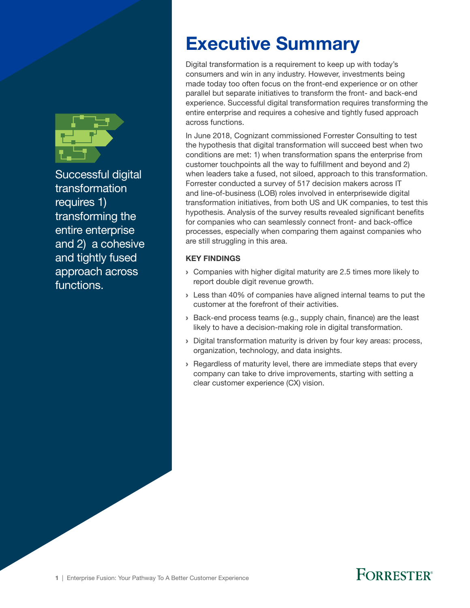<span id="page-2-0"></span>

Successful digital transformation requires 1) transforming the entire enterprise and 2) a cohesive and tightly fused approach across functions.

# Executive Summary

Digital transformation is a requirement to keep up with today's consumers and win in any industry. However, investments being made today too often focus on the front-end experience or on other parallel but separate initiatives to transform the front- and back-end experience. Successful digital transformation requires transforming the entire enterprise and requires a cohesive and tightly fused approach across functions.

In June 2018, Cognizant commissioned Forrester Consulting to test the hypothesis that digital transformation will succeed best when two conditions are met: 1) when transformation spans the enterprise from customer touchpoints all the way to fulfillment and beyond and 2) when leaders take a fused, not siloed, approach to this transformation. Forrester conducted a survey of 517 decision makers across IT and line-of-business (LOB) roles involved in enterprisewide digital transformation initiatives, from both US and UK companies, to test this hypothesis. Analysis of the survey results revealed significant benefits for companies who can seamlessly connect front- and back-office processes, especially when comparing them against companies who are still struggling in this area.

### KEY FINDINGS

- › Companies with higher digital maturity are 2.5 times more likely to report double digit revenue growth.
- › Less than 40% of companies have aligned internal teams to put the customer at the forefront of their activities.
- › Back-end process teams (e.g., supply chain, finance) are the least likely to have a decision-making role in digital transformation.
- › Digital transformation maturity is driven by four key areas: process, organization, technology, and data insights.
- › Regardless of maturity level, there are immediate steps that every company can take to drive improvements, starting with setting a clear customer experience (CX) vision.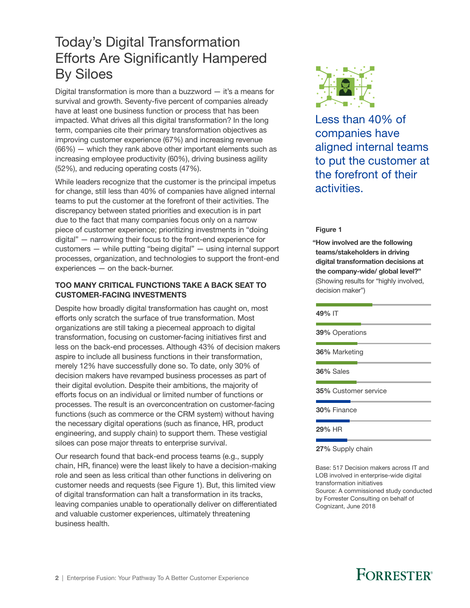### <span id="page-3-0"></span>Today's Digital Transformation Efforts Are Significantly Hampered By Siloes

Digital transformation is more than a buzzword  $-$  it's a means for survival and growth. Seventy-five percent of companies already have at least one business function or process that has been impacted. What drives all this digital transformation? In the long term, companies cite their primary transformation objectives as improving customer experience (67%) and increasing revenue (66%) — which they rank above other important elements such as increasing employee productivity (60%), driving business agility (52%), and reducing operating costs (47%).

While leaders recognize that the customer is the principal impetus for change, still less than 40% of companies have aligned internal teams to put the customer at the forefront of their activities. The discrepancy between stated priorities and execution is in part due to the fact that many companies focus only on a narrow piece of customer experience; prioritizing investments in "doing digital" — narrowing their focus to the front-end experience for customers — while putting "being digital" — using internal support processes, organization, and technologies to support the front-end experiences — on the back-burner.

### TOO MANY CRITICAL FUNCTIONS TAKE A BACK SEAT TO CUSTOMER-FACING INVESTMENTS

Despite how broadly digital transformation has caught on, most efforts only scratch the surface of true transformation. Most organizations are still taking a piecemeal approach to digital transformation, focusing on customer-facing initiatives first and less on the back-end processes. Although 43% of decision makers aspire to include all business functions in their transformation, merely 12% have successfully done so. To date, only 30% of decision makers have revamped business processes as part of their digital evolution. Despite their ambitions, the majority of efforts focus on an individual or limited number of functions or processes. The result is an overconcentration on customer-facing functions (such as commerce or the CRM system) without having the necessary digital operations (such as finance, HR, product engineering, and supply chain) to support them. These vestigial siloes can pose major threats to enterprise survival.

Our research found that back-end process teams (e.g., supply chain, HR, finance) were the least likely to have a decision-making role and seen as less critical than other functions in delivering on customer needs and requests (see Figure 1). But, this limited view of digital transformation can halt a transformation in its tracks, leaving companies unable to operationally deliver on differentiated and valuable customer experiences, ultimately threatening business health.



Less than 40% of companies have aligned internal teams to put the customer at the forefront of their activities.

#### Figure 1

"How involved are the following teams/stakeholders in driving digital transformation decisions at the company-wide/ global level?" (Showing results for "highly involved, decision maker")

# 49% IT 39% Operations 36% Marketing 36% Sales 35% Customer service 30% Finance

29% HR

27% Supply chain

Base: 517 Decision makers across IT and LOB involved in enterprise-wide digital transformation initiatives Source: A commissioned study conducted by Forrester Consulting on behalf of Cognizant, June 2018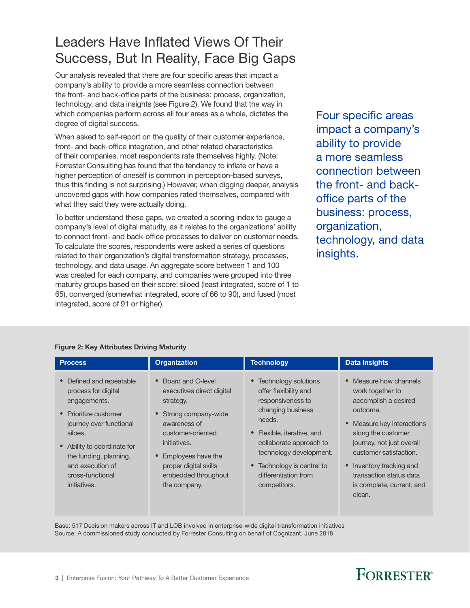### <span id="page-4-0"></span>Leaders Have Inflated Views Of Their Success, But In Reality, Face Big Gaps

Our analysis revealed that there are four specific areas that impact a company's ability to provide a more seamless connection between the front- and back-office parts of the business: process, organization, technology, and data insights (see Figure 2). We found that the way in which companies perform across all four areas as a whole, dictates the degree of digital success.

When asked to self-report on the quality of their customer experience, front- and back-office integration, and other related characteristics of their companies, most respondents rate themselves highly. (Note: Forrester Consulting has found that the tendency to inflate or have a higher perception of oneself is common in perception-based surveys, thus this finding is not surprising.) However, when digging deeper, analysis uncovered gaps with how companies rated themselves, compared with what they said they were actually doing.

To better understand these gaps, we created a scoring index to gauge a company's level of digital maturity, as it relates to the organizations' ability to connect front- and back-office processes to deliver on customer needs. To calculate the scores, respondents were asked a series of questions related to their organization's digital transformation strategy, processes, technology, and data usage. An aggregate score between 1 and 100 was created for each company, and companies were grouped into three maturity groups based on their score: siloed (least integrated, score of 1 to 65), converged (somewhat integrated, score of 66 to 90), and fused (most integrated, score of 91 or higher).

Four specific areas impact a company's ability to provide a more seamless connection between the front- and backoffice parts of the business: process, organization, technology, and data insights.

| <b>Process</b>                                                                                                                                                                                                                                                        | <b>Organization</b>                                                                                                                                                                                                               | <b>Technology</b>                                                                                                                                                                                                                                                  | <b>Data insights</b>                                                                                                                                                                                                                                                                    |
|-----------------------------------------------------------------------------------------------------------------------------------------------------------------------------------------------------------------------------------------------------------------------|-----------------------------------------------------------------------------------------------------------------------------------------------------------------------------------------------------------------------------------|--------------------------------------------------------------------------------------------------------------------------------------------------------------------------------------------------------------------------------------------------------------------|-----------------------------------------------------------------------------------------------------------------------------------------------------------------------------------------------------------------------------------------------------------------------------------------|
| Defined and repeatable<br>$\bullet$<br>process for digital<br>engagements.<br>Prioritize customer<br>$\bullet$<br>journey over functional<br>siloes.<br>• Ability to coordinate for<br>the funding, planning,<br>and execution of<br>cross-functional<br>initiatives. | • Board and C-level<br>executives direct digital<br>strategy.<br>• Strong company-wide<br>awareness of<br>customer-oriented<br>initiatives.<br>Employees have the<br>proper digital skills<br>embedded throughout<br>the company. | <b>Technology solutions</b><br>offer flexibility and<br>responsiveness to<br>changing business<br>needs.<br>• Flexible, iterative, and<br>collaborate approach to<br>technology development.<br>• Technology is central to<br>differentiation from<br>competitors. | • Measure how channels<br>work together to<br>accomplish a desired<br>outcome.<br>• Measure key interactions<br>along the customer<br>journey, not just overall<br>customer satisfaction.<br>• Inventory tracking and<br>transaction status data<br>is complete, current, and<br>clean. |

#### Figure 2: Key Attributes Driving Maturity

Base: 517 Decision makers across IT and LOB involved in enterprise-wide digital transformation initiatives Source: A commissioned study conducted by Forrester Consulting on behalf of Cognizant, June 2018

## **FORRESTER**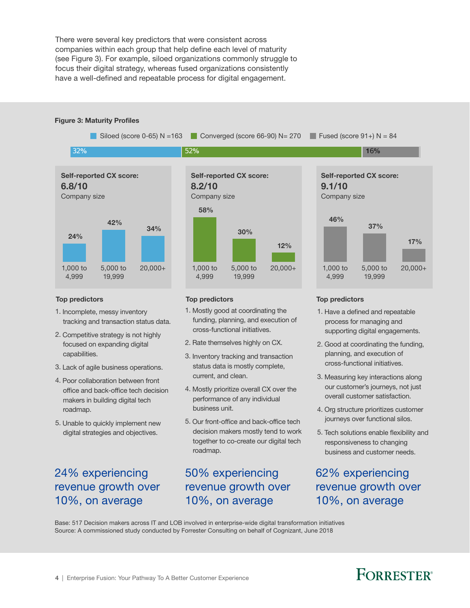There were several key predictors that were consistent across companies within each group that help define each level of maturity (see Figure 3). For example, siloed organizations commonly struggle to focus their digital strategy, whereas fused organizations consistently have a well-defined and repeatable process for digital engagement.

#### Figure 3: Maturity Profiles

Siloed (score 0-65) N = 163 Converged (score 66-90) N = 270 Fused (score 91+) N = 84 32% 52% and  $52\%$  52% for the set of the set of the set of the set of the set of the set of the set of the set of the set of the set of the set of the set of the set of the set of the set of the set of the set of the set



#### Top predictors Top predictors Top predictors

- 1. Incomplete, messy inventory tracking and transaction status data.
- 2. Competitive strategy is not highly focused on expanding digital capabilities.
- 3. Lack of agile business operations.
- 4. Poor collaboration between front office and back-office tech decision makers in building digital tech roadmap.
- 5. Unable to quickly implement new digital strategies and objectives.

### 24% experiencing revenue growth over 10%, on average



- 1. Mostly good at coordinating the funding, planning, and execution of cross-functional initiatives.
- 2. Rate themselves highly on CX.
- 3. Inventory tracking and transaction status data is mostly complete, current, and clean.
- 4. Mostly prioritize overall CX over the performance of any individual business unit.
- 5. Our front-office and back-office tech decision makers mostly tend to work together to co-create our digital tech roadmap.

### 50% experiencing revenue growth over 10%, on average



- 1. Have a defined and repeatable process for managing and supporting digital engagements.
- 2. Good at coordinating the funding, planning, and execution of cross-functional initiatives.
- 3. Measuring key interactions along our customer's journeys, not just overall customer satisfaction.
- 4. Org structure prioritizes customer journeys over functional silos.
- 5. Tech solutions enable flexibility and responsiveness to changing business and customer needs.

62% experiencing revenue growth over 10%, on average

Base: 517 Decision makers across IT and LOB involved in enterprise-wide digital transformation initiatives Source: A commissioned study conducted by Forrester Consulting on behalf of Cognizant, June 2018

## **FORRESTER**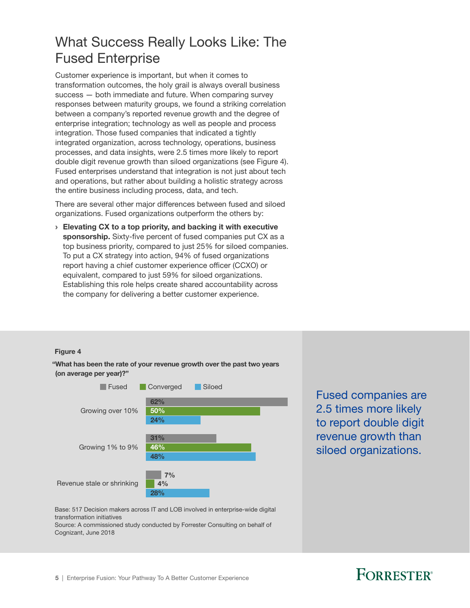### <span id="page-6-0"></span>What Success Really Looks Like: The Fused Enterprise

Customer experience is important, but when it comes to transformation outcomes, the holy grail is always overall business success — both immediate and future. When comparing survey responses between maturity groups, we found a striking correlation between a company's reported revenue growth and the degree of enterprise integration; technology as well as people and process integration. Those fused companies that indicated a tightly integrated organization, across technology, operations, business processes, and data insights, were 2.5 times more likely to report double digit revenue growth than siloed organizations (see Figure 4). Fused enterprises understand that integration is not just about tech and operations, but rather about building a holistic strategy across the entire business including process, data, and tech.

There are several other major differences between fused and siloed organizations. Fused organizations outperform the others by:

› Elevating CX to a top priority, and backing it with executive sponsorship. Sixty-five percent of fused companies put CX as a top business priority, compared to just 25% for siloed companies. To put a CX strategy into action, 94% of fused organizations report having a chief customer experience officer (CCXO) or equivalent, compared to just 59% for siloed organizations. Establishing this role helps create shared accountability across the company for delivering a better customer experience.

#### Figure 4

"What has been the rate of your revenue growth over the past two years (on average per year)?"



Fused companies are 2.5 times more likely to report double digit revenue growth than siloed organizations.

Base: 517 Decision makers across IT and LOB involved in enterprise-wide digital transformation initiatives

Source: A commissioned study conducted by Forrester Consulting on behalf of Cognizant, June 2018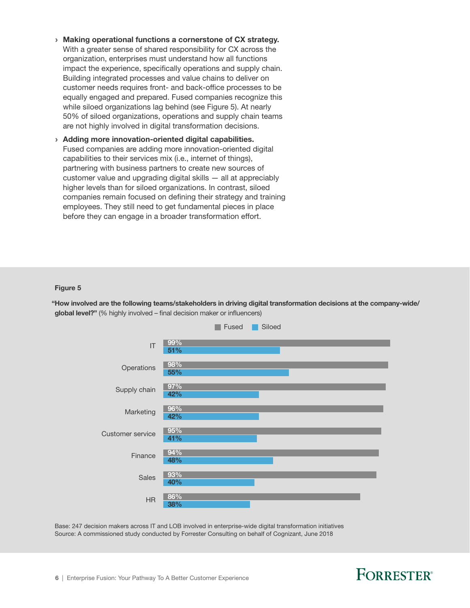- › Making operational functions a cornerstone of CX strategy. With a greater sense of shared responsibility for CX across the organization, enterprises must understand how all functions impact the experience, specifically operations and supply chain. Building integrated processes and value chains to deliver on customer needs requires front- and back-office processes to be equally engaged and prepared. Fused companies recognize this while siloed organizations lag behind (see Figure 5). At nearly 50% of siloed organizations, operations and supply chain teams are not highly involved in digital transformation decisions.
- › Adding more innovation-oriented digital capabilities. Fused companies are adding more innovation-oriented digital capabilities to their services mix (i.e., internet of things), partnering with business partners to create new sources of customer value and upgrading digital skills — all at appreciably higher levels than for siloed organizations. In contrast, siloed companies remain focused on defining their strategy and training employees. They still need to get fundamental pieces in place before they can engage in a broader transformation effort.

#### Figure 5

"How involved are the following teams/stakeholders in driving digital transformation decisions at the company-wide/ global level?" (% highly involved – final decision maker or influencers)



Base: 247 decision makers across IT and LOB involved in enterprise-wide digital transformation initiatives Source: A commissioned study conducted by Forrester Consulting on behalf of Cognizant, June 2018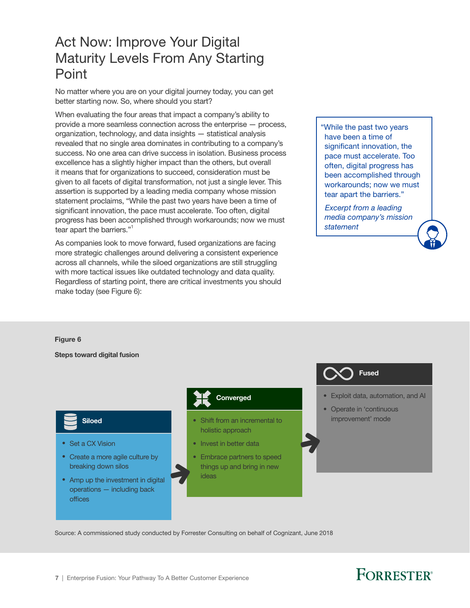### <span id="page-8-0"></span>Act Now: Improve Your Digital Maturity Levels From Any Starting Point

No matter where you are on your digital journey today, you can get better starting now. So, where should you start?

When evaluating the four areas that impact a company's ability to provide a more seamless connection across the enterprise — process, organization, technology, and data insights — statistical analysis revealed that no single area dominates in contributing to a company's success. No one area can drive success in isolation. Business process excellence has a slightly higher impact than the others, but overall it means that for organizations to succeed, consideration must be given to all facets of digital transformation, not just a single lever. This assertion is supported by a leading media company whose mission statement proclaims, "While the past two years have been a time of significant innovation, the pace must accelerate. Too often, digital progress has been accomplished through workarounds; now we must tear apart the barriers."

As companies look to move forward, fused organizations are facing more strategic challenges around delivering a consistent experience across all channels, while the siloed organizations are still struggling with more tactical issues like outdated technology and data quality. Regardless of starting point, there are critical investments you should make today (see Figure 6):

"While the past two years have been a time of significant innovation, the pace must accelerate. Too often, digital progress has been accomplished through workarounds; now we must tear apart the barriers."

 *Excerpt from a leading media company's mission statement*

#### Figure 6

Steps toward digital fusion

### Siloed

- Set a CX Vision
- Create a more agile culture by breaking down silos

#### • Amp up the investment in digital operations — including back offices

### Converged

- Shift from an incremental to holistic approach
- Invest in better data
- Embrace partners to speed things up and bring in new ideas

# Fused

- Exploit data, automation, and AI
- Operate in 'continuous improvement' mode

Source: A commissioned study conducted by Forrester Consulting on behalf of Cognizant, June 2018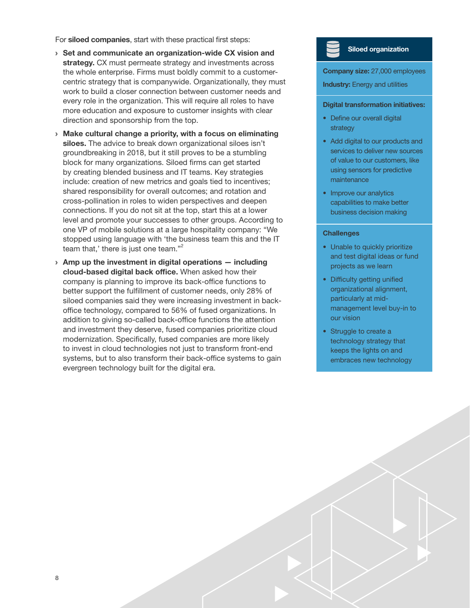For siloed companies, start with these practical first steps:

- › Set and communicate an organization-wide CX vision and strategy. CX must permeate strategy and investments across the whole enterprise. Firms must boldly commit to a customercentric strategy that is companywide. Organizationally, they must work to build a closer connection between customer needs and every role in the organization. This will require all roles to have more education and exposure to customer insights with clear direction and sponsorship from the top.
- › Make cultural change a priority, with a focus on eliminating siloes. The advice to break down organizational siloes isn't groundbreaking in 2018, but it still proves to be a stumbling block for many organizations. Siloed firms can get started by creating blended business and IT teams. Key strategies include: creation of new metrics and goals tied to incentives; shared responsibility for overall outcomes; and rotation and cross-pollination in roles to widen perspectives and deepen connections. If you do not sit at the top, start this at a lower level and promote your successes to other groups. According to one VP of mobile solutions at a large hospitality company: "We stopped using language with 'the business team this and the IT team that,' there is just one team. $^{n^2}$
- $\rightarrow$  Amp up the investment in digital operations  $-$  including cloud-based digital back office. When asked how their company is planning to improve its back-office functions to better support the fulfillment of customer needs, only 28% of siloed companies said they were increasing investment in backoffice technology, compared to 56% of fused organizations. In addition to giving so-called back-office functions the attention and investment they deserve, fused companies prioritize cloud modernization. Specifically, fused companies are more likely to invest in cloud technologies not just to transform front-end systems, but to also transform their back-office systems to gain evergreen technology built for the digital era.

### Siloed organization

Company size: 27,000 employees

**Industry:** Energy and utilities

#### Digital transformation initiatives:

- Define our overall digital strategy
- Add digital to our products and services to deliver new sources of value to our customers, like using sensors for predictive maintenance
- Improve our analytics capabilities to make better business decision making

#### **Challenges**

- Unable to quickly prioritize and test digital ideas or fund projects as we learn
- Difficulty getting unified organizational alignment, particularly at midmanagement level buy-in to our vision
- Struggle to create a technology strategy that keeps the lights on and embraces new technology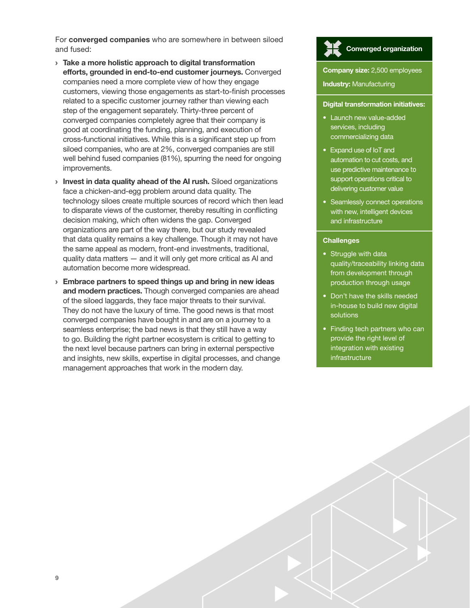For converged companies who are somewhere in between siloed and fused:

- › Take a more holistic approach to digital transformation efforts, grounded in end-to-end customer journeys. Converged companies need a more complete view of how they engage customers, viewing those engagements as start-to-finish processes related to a specific customer journey rather than viewing each step of the engagement separately. Thirty-three percent of converged companies completely agree that their company is good at coordinating the funding, planning, and execution of cross-functional initiatives. While this is a significant step up from siloed companies, who are at 2%, converged companies are still well behind fused companies (81%), spurring the need for ongoing improvements.
- > Invest in data quality ahead of the AI rush. Siloed organizations face a chicken-and-egg problem around data quality. The technology siloes create multiple sources of record which then lead to disparate views of the customer, thereby resulting in conflicting decision making, which often widens the gap. Converged organizations are part of the way there, but our study revealed that data quality remains a key challenge. Though it may not have the same appeal as modern, front-end investments, traditional, quality data matters — and it will only get more critical as AI and automation become more widespread.
- $\rightarrow$  Embrace partners to speed things up and bring in new ideas and modern practices. Though converged companies are ahead of the siloed laggards, they face major threats to their survival. They do not have the luxury of time. The good news is that most converged companies have bought in and are on a journey to a seamless enterprise; the bad news is that they still have a way to go. Building the right partner ecosystem is critical to getting to the next level because partners can bring in external perspective and insights, new skills, expertise in digital processes, and change management approaches that work in the modern day.

# Converged organization

#### **Company size: 2,500 employees**

**Industry: Manufacturing** 

#### Digital transformation initiatives:

- Launch new value-added services, including commercializing data
- Expand use of IoT and automation to cut costs, and use predictive maintenance to support operations critical to delivering customer value
- Seamlessly connect operations with new, intelligent devices and infrastructure

#### **Challenges**

- Struggle with data quality/traceability linking data from development through production through usage
- Don't have the skills needed in-house to build new digital solutions
- Finding tech partners who can provide the right level of integration with existing infrastructure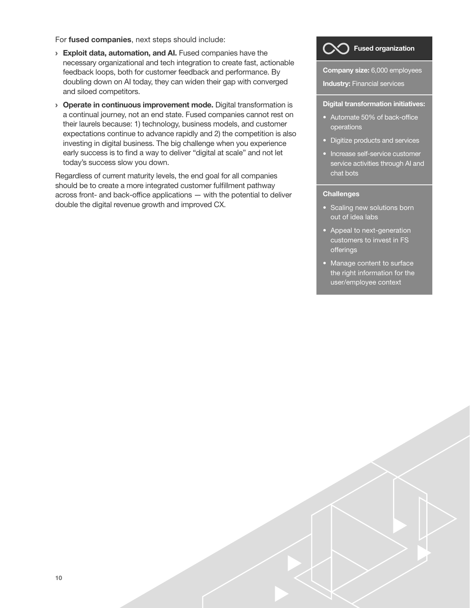For fused companies, next steps should include:

- **Exploit data, automation, and AI.** Fused companies have the necessary organizational and tech integration to create fast, actionable feedback loops, both for customer feedback and performance. By doubling down on AI today, they can widen their gap with converged and siloed competitors.
- **Operate in continuous improvement mode.** Digital transformation is a continual journey, not an end state. Fused companies cannot rest on their laurels because: 1) technology, business models, and customer expectations continue to advance rapidly and 2) the competition is also investing in digital business. The big challenge when you experience early success is to find a way to deliver "digital at scale" and not let today's success slow you down.

Regardless of current maturity levels, the end goal for all companies should be to create a more integrated customer fulfillment pathway across front- and back-office applications — with the potential to deliver double the digital revenue growth and improved CX.



Industry: Financial services

#### Digital transformation initiatives:

- $\bullet$  Automate 50% of back-office operations
- Digitize products and services
- Increase self-service customer service activities through AI and chat bots

#### **Challenges**

- Scaling new solutions born out of idea labs
- Appeal to next-generation customers to invest in FS offerings
- Manage content to surface the right information for the user/employee context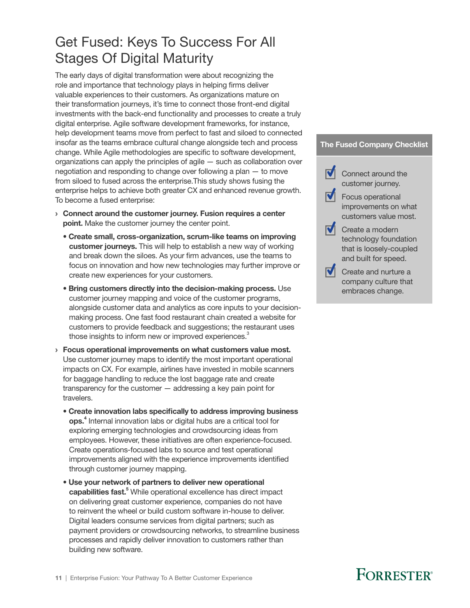### <span id="page-12-0"></span>Get Fused: Keys To Success For All Stages Of Digital Maturity

The early days of digital transformation were about recognizing the role and importance that technology plays in helping firms deliver valuable experiences to their customers. As organizations mature on their transformation journeys, it's time to connect those front-end digital investments with the back-end functionality and processes to create a truly digital enterprise. Agile software development frameworks, for instance, help development teams move from perfect to fast and siloed to connected insofar as the teams embrace cultural change alongside tech and process change. While Agile methodologies are specific to software development, organizations can apply the principles of agile — such as collaboration over negotiation and responding to change over following a plan — to move from siloed to fused across the enterprise.This study shows fusing the enterprise helps to achieve both greater CX and enhanced revenue growth. To become a fused enterprise:

- › Connect around the customer journey. Fusion requires a center point. Make the customer journey the center point.
	- Create small, cross-organization, scrum-like teams on improving customer journeys. This will help to establish a new way of working and break down the siloes. As your firm advances, use the teams to focus on innovation and how new technologies may further improve or create new experiences for your customers.
	- Bring customers directly into the decision-making process. Use customer journey mapping and voice of the customer programs, alongside customer data and analytics as core inputs to your decisionmaking process. One fast food restaurant chain created a website for customers to provide feedback and suggestions; the restaurant uses those insights to inform new or improved experiences.<sup>3</sup>
- › Focus operational improvements on what customers value most. Use customer journey maps to identify the most important operational impacts on CX. For example, airlines have invested in mobile scanners for baggage handling to reduce the lost baggage rate and create transparency for the customer — addressing a key pain point for travelers.
	- Create innovation labs specifically to address improving business ops.<sup>4</sup> Internal innovation labs or digital hubs are a critical tool for exploring emerging technologies and crowdsourcing ideas from employees. However, these initiatives are often experience-focused. Create operations-focused labs to source and test operational improvements aligned with the experience improvements identified through customer journey mapping.
	- Use your network of partners to deliver new operational capabilities fast.<sup>5</sup> While operational excellence has direct impact on delivering great customer experience, companies do not have to reinvent the wheel or build custom software in-house to deliver. Digital leaders consume services from digital partners; such as payment providers or crowdsourcing networks, to streamline business processes and rapidly deliver innovation to customers rather than building new software.

#### The Fused Company Checklist



- improvements on what customers value most.
- **V** Create a modern technology foundation that is loosely-coupled and built for speed.
- $\sqrt{\phantom{a}}$  Create and nurture a company culture that embraces change.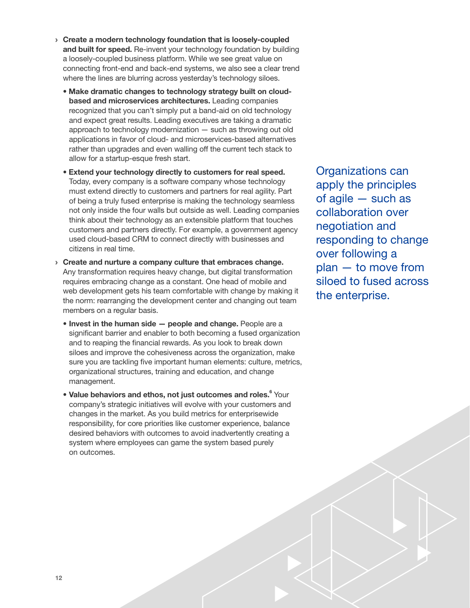- › Create a modern technology foundation that is loosely-coupled and built for speed. Re-invent your technology foundation by building a loosely-coupled business platform. While we see great value on connecting front-end and back-end systems, we also see a clear trend where the lines are blurring across yesterday's technology siloes.
	- Make dramatic changes to technology strategy built on cloudbased and microservices architectures. Leading companies recognized that you can't simply put a band-aid on old technology and expect great results. Leading executives are taking a dramatic approach to technology modernization — such as throwing out old applications in favor of cloud- and microservices-based alternatives rather than upgrades and even walling off the current tech stack to allow for a startup-esque fresh start.
	- Extend your technology directly to customers for real speed. Today, every company is a software company whose technology must extend directly to customers and partners for real agility. Part of being a truly fused enterprise is making the technology seamless not only inside the four walls but outside as well. Leading companies think about their technology as an extensible platform that touches customers and partners directly. For example, a government agency used cloud-based CRM to connect directly with businesses and citizens in real time.
- › Create and nurture a company culture that embraces change. Any transformation requires heavy change, but digital transformation requires embracing change as a constant. One head of mobile and web development gets his team comfortable with change by making it the norm: rearranging the development center and changing out team members on a regular basis.
	- Invest in the human side people and change. People are a significant barrier and enabler to both becoming a fused organization and to reaping the financial rewards. As you look to break down siloes and improve the cohesiveness across the organization, make sure you are tackling five important human elements: culture, metrics, organizational structures, training and education, and change management.
	- Value behaviors and ethos, not just outcomes and roles.<sup>6</sup> Your company's strategic initiatives will evolve with your customers and changes in the market. As you build metrics for enterprisewide responsibility, for core priorities like customer experience, balance desired behaviors with outcomes to avoid inadvertently creating a system where employees can game the system based purely on outcomes.

Organizations can apply the principles of agile — such as collaboration over negotiation and responding to change over following a plan — to move from siloed to fused across the enterprise.